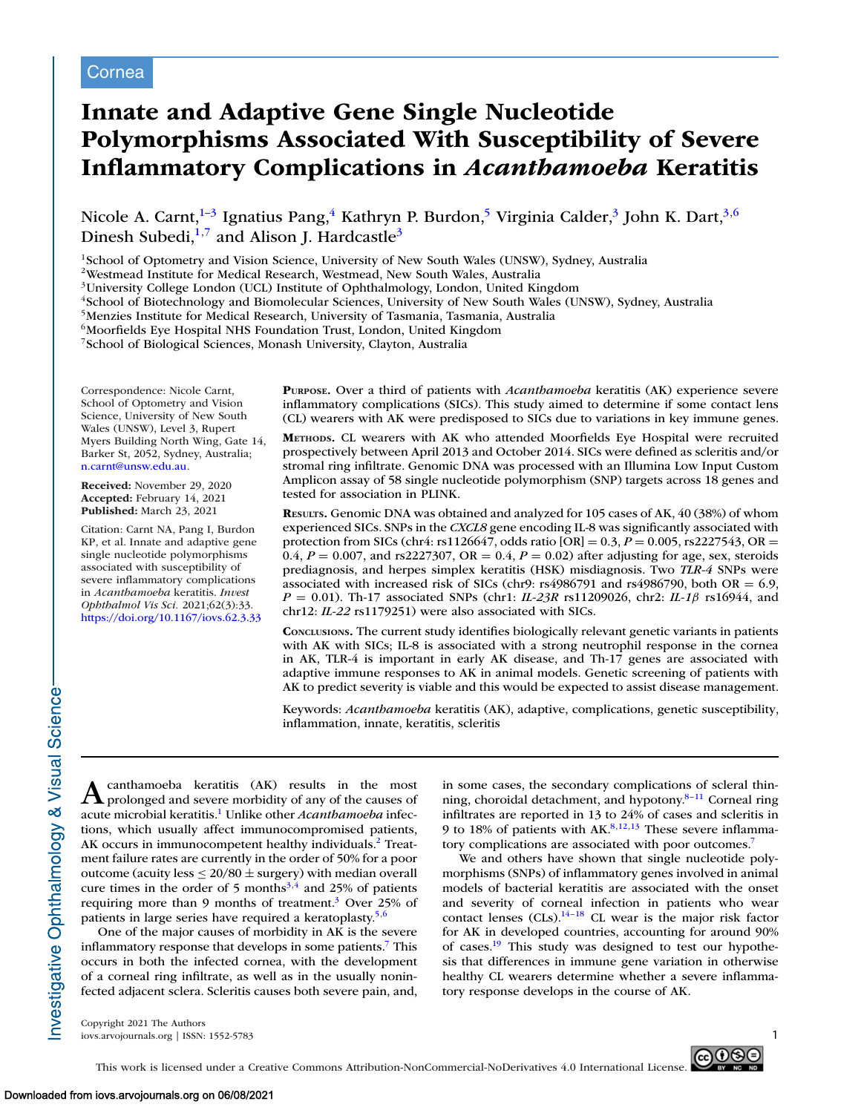# **Innate and Adaptive Gene Single Nucleotide Polymorphisms Associated With Susceptibility of Severe Inflammatory Complications in** *Acanthamoeba* **Keratitis**

Nicole A. Carnt,<sup>1-3</sup> Ignatius Pang,<sup>4</sup> Kathryn P. Burdon,<sup>5</sup> Virginia Calder,<sup>3</sup> John K. Dart,<sup>3,6</sup> Dinesh Subedi, $1,7$  and Alison J. Hardcastle<sup>3</sup>

<sup>1</sup>School of Optometry and Vision Science, University of New South Wales (UNSW), Sydney, Australia

2Westmead Institute for Medical Research, Westmead, New South Wales, Australia

3University College London (UCL) Institute of Ophthalmology, London, United Kingdom

<sup>4</sup>School of Biotechnology and Biomolecular Sciences, University of New South Wales (UNSW), Sydney, Australia

5Menzies Institute for Medical Research, University of Tasmania, Tasmania, Australia

<sup>6</sup>Moorfields Eye Hospital NHS Foundation Trust, London, United Kingdom

7School of Biological Sciences, Monash University, Clayton, Australia

Correspondence: Nicole Carnt, School of Optometry and Vision Science, University of New South Wales (UNSW), Level 3, Rupert Myers Building North Wing, Gate 14, Barker St, 2052, Sydney, Australia; [n.carnt@unsw.edu.au.](mailto:n.carnt@unsw.edu.au)

**Received:** November 29, 2020 **Accepted:** February 14, 2021 **Published:** March 23, 2021

Citation: Carnt NA, Pang I, Burdon KP, et al. Innate and adaptive gene single nucleotide polymorphisms associated with susceptibility of severe inflammatory complications in *Acanthamoeba* keratitis. *Invest Ophthalmol Vis Sci.* 2021;62(3):33. <https://doi.org/10.1167/iovs.62.3.33> **PURPOSE.** Over a third of patients with *Acanthamoeba* keratitis (AK) experience severe inflammatory complications (SICs). This study aimed to determine if some contact lens (CL) wearers with AK were predisposed to SICs due to variations in key immune genes.

**METHODS.** CL wearers with AK who attended Moorfields Eye Hospital were recruited prospectively between April 2013 and October 2014. SICs were defined as scleritis and/or stromal ring infiltrate. Genomic DNA was processed with an Illumina Low Input Custom Amplicon assay of 58 single nucleotide polymorphism (SNP) targets across 18 genes and tested for association in PLINK.

**RESULTS.** Genomic DNA was obtained and analyzed for 105 cases of AK, 40 (38%) of whom experienced SICs. SNPs in the *CXCL8* gene encoding IL-8 was significantly associated with protection from SICs (chr4: rs1126647, odds ratio [OR] = 0.3, *P* = 0.005, rs2227543, OR = 0.4,  $P = 0.007$ , and rs2227307, OR = 0.4,  $P = 0.02$ ) after adjusting for age, sex, steroids prediagnosis, and herpes simplex keratitis (HSK) misdiagnosis. Two *TLR-4* SNPs were associated with increased risk of SICs (chr9: rs4986791 and rs4986790, both OR =  $6.9$ , *P* = 0.01). Th-17 associated SNPs (chr1: *IL-23R* rs11209026, chr2: *IL-1*β rs16944, and chr12: *IL-22* rs1179251) were also associated with SICs.

**CONCLUSIONS.** The current study identifies biologically relevant genetic variants in patients with AK with SICs; IL-8 is associated with a strong neutrophil response in the cornea in AK, TLR-4 is important in early AK disease, and Th-17 genes are associated with adaptive immune responses to AK in animal models. Genetic screening of patients with AK to predict severity is viable and this would be expected to assist disease management.

Keywords: *Acanthamoeba* keratitis (AK), adaptive, complications, genetic susceptibility, inflammation, innate, keratitis, scleritis

 $\mathbf A$  prolonged and severe morbidity of any of the causes of acute microbial keratitis[.1](#page-5-0) Unlike other *Acanthamoeba* infections, which usually affect immunocompromised patients, AK occurs in immunocompetent healthy individuals.<sup>2</sup> Treatment failure rates are currently in the order of 50% for a poor outcome (acuity less  $\leq 20/80 \pm$  surgery) with median overall cure times in the order of 5 months<sup>3,4</sup> and 25% of patients requiring more than 9 months of treatment.<sup>3</sup> Over 25% of patients in large series have required a keratoplasty.<sup>5,6</sup>

One of the major causes of morbidity in AK is the severe inflammatory response that develops in some patients.<sup>7</sup> This occurs in both the infected cornea, with the development of a corneal ring infiltrate, as well as in the usually noninfected adjacent sclera. Scleritis causes both severe pain, and, in some cases, the secondary complications of scleral thinning, choroidal detachment, and hypotony. $8-11$  Corneal ring infiltrates are reported in 13 to 24% of cases and scleritis in 9 to 18% of patients with  $AK^{8,12,13}$  These severe inflammatory complications are associated with poor outcomes.<sup>7</sup>

We and others have shown that single nucleotide polymorphisms (SNPs) of inflammatory genes involved in animal models of bacterial keratitis are associated with the onset and severity of corneal infection in patients who wear contact lenses  $(CIs).^{14-18}$  CL wear is the major risk factor for AK in developed countries, accounting for around 90% of cases.<sup>19</sup> This study was designed to test our hypothesis that differences in immune gene variation in otherwise healthy CL wearers determine whether a severe inflammatory response develops in the course of AK.

Copyright 2021 The Authors iovs.arvojournals.org | ISSN: 1552-5783 1

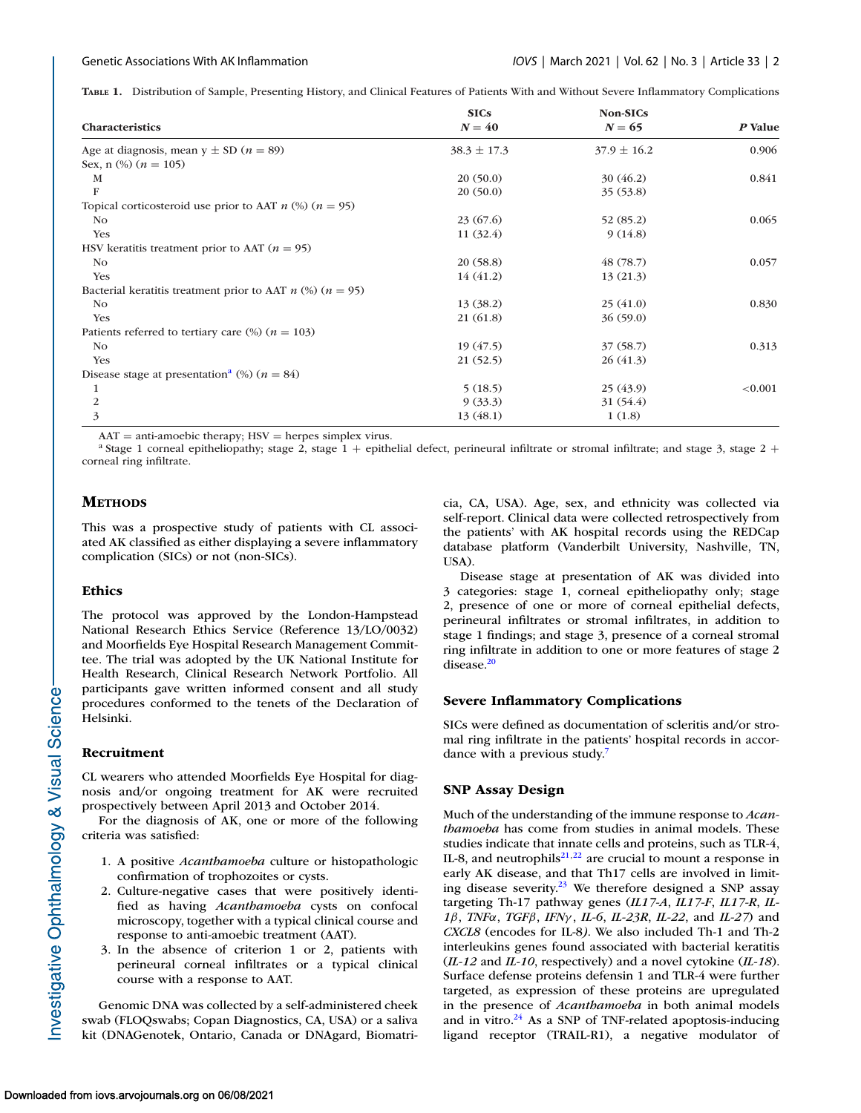<span id="page-1-0"></span>**TABLE 1.** Distribution of Sample, Presenting History, and Clinical Features of Patients With and Without Severe Inflammatory Complications

|                                                                   | <b>SICs</b>     | Non-SICs        |            |  |
|-------------------------------------------------------------------|-----------------|-----------------|------------|--|
| <b>Characteristics</b>                                            | $N = 40$        | $N = 65$        | P Value    |  |
| Age at diagnosis, mean $y \pm SD$ ( $n = 89$ )                    | $38.3 \pm 17.3$ | $37.9 \pm 16.2$ | 0.906      |  |
| Sex, n $\left(\frac{9}{6}\right)$ $(n = 105)$                     |                 |                 |            |  |
| M                                                                 | 20(50.0)        | 30(46.2)        | 0.841      |  |
| F                                                                 | 20(50.0)        | 35(53.8)        |            |  |
| Topical corticosteroid use prior to AAT $n$ (%) ( $n = 95$ )      |                 |                 |            |  |
| No                                                                | 23(67.6)        | 52 (85.2)       | 0.065      |  |
| Yes                                                               | 11(32.4)        | 9(14.8)         |            |  |
| HSV keratitis treatment prior to AAT ( $n = 95$ )                 |                 |                 |            |  |
| N <sub>o</sub>                                                    | 20(58.8)        | 48(78.7)        | 0.057      |  |
| Yes                                                               | 14(41.2)        | 13(21.3)        |            |  |
| Bacterial keratitis treatment prior to AAT $n$ (%) ( $n = 95$ )   |                 |                 |            |  |
| No.                                                               | 13(38.2)        | 25(41.0)        | 0.830      |  |
| Yes                                                               | 21 (61.8)       | 36(59.0)        |            |  |
| Patients referred to tertiary care $\left(\% \right)$ $(n = 103)$ |                 |                 |            |  |
| No                                                                | 19(47.5)        | 37(58.7)        | 0.313      |  |
| Yes                                                               | 21(52.5)        | 26(41.3)        |            |  |
| Disease stage at presentation <sup>a</sup> (%) ( $n = 84$ )       |                 |                 |            |  |
| $\mathbf{1}$                                                      | 5(18.5)         | 25(43.9)        | ${<}0.001$ |  |
| 2                                                                 | 9(33.3)         | 31 (54.4)       |            |  |
| 3                                                                 | 13(48.1)        | 1(1.8)          |            |  |

AAT = anti-amoebic therapy; HSV = herpes simplex virus.<br><sup>a</sup> Stage 1 corneal epitheliopathy; stage 2, stage 1 + epithelial defect, perineural infiltrate or stromal infiltrate; and stage 3, stage 2 + corneal ring infiltrate.

# **METHODS**

This was a prospective study of patients with CL associated AK classified as either displaying a severe inflammatory complication (SICs) or not (non-SICs).

### **Ethics**

The protocol was approved by the London-Hampstead National Research Ethics Service (Reference 13/LO/0032) and Moorfields Eye Hospital Research Management Committee. The trial was adopted by the UK National Institute for Health Research, Clinical Research Network Portfolio. All participants gave written informed consent and all study procedures conformed to the tenets of the Declaration of Helsinki.

### **Recruitment**

CL wearers who attended Moorfields Eye Hospital for diagnosis and/or ongoing treatment for AK were recruited prospectively between April 2013 and October 2014.

For the diagnosis of AK, one or more of the following criteria was satisfied:

- 1. A positive *Acanthamoeba* culture or histopathologic confirmation of trophozoites or cysts.
- 2. Culture-negative cases that were positively identified as having *Acanthamoeba* cysts on confocal microscopy, together with a typical clinical course and response to anti-amoebic treatment (AAT).
- 3. In the absence of criterion 1 or 2, patients with perineural corneal infiltrates or a typical clinical course with a response to AAT.

Genomic DNA was collected by a self-administered cheek swab (FLOQswabs; Copan Diagnostics, CA, USA) or a saliva kit (DNAGenotek, Ontario, Canada or DNAgard, Biomatricia, CA, USA). Age, sex, and ethnicity was collected via self-report. Clinical data were collected retrospectively from the patients' with AK hospital records using the REDCap database platform (Vanderbilt University, Nashville, TN, USA).

Disease stage at presentation of AK was divided into 3 categories: stage 1, corneal epitheliopathy only; stage 2, presence of one or more of corneal epithelial defects, perineural infiltrates or stromal infiltrates, in addition to stage 1 findings; and stage 3, presence of a corneal stromal ring infiltrate in addition to one or more features of stage 2 disease.<sup>20</sup>

### **Severe Inflammatory Complications**

SICs were defined as documentation of scleritis and/or stromal ring infiltrate in the patients' hospital records in accordance with a previous study.<sup>7</sup>

### **SNP Assay Design**

Much of the understanding of the immune response to *Acanthamoeba* has come from studies in animal models. These studies indicate that innate cells and proteins, such as TLR-4, IL-8, and neutrophils $21,22$  are crucial to mount a response in early AK disease, and that Th17 cells are involved in limiting disease severity.<sup>23</sup> We therefore designed a SNP assay targeting Th-17 pathway genes (*IL17-A*, *IL17-F*, *IL17-R*, *IL-1*β, *TNF*α, *TGF*β, *IFN*γ , *IL-6*, *IL-23R*, *IL-22*, and *IL-27*) and *CXCL8* (encodes for IL-8*)*. We also included Th-1 and Th-2 interleukins genes found associated with bacterial keratitis (*IL-12* and *IL-10*, respectively) and a novel cytokine (*IL-18*). Surface defense proteins defensin 1 and TLR-4 were further targeted, as expression of these proteins are upregulated in the presence of *Acanthamoeba* in both animal models and in vitro. $24$  As a SNP of TNF-related apoptosis-inducing ligand receptor (TRAIL-R1), a negative modulator of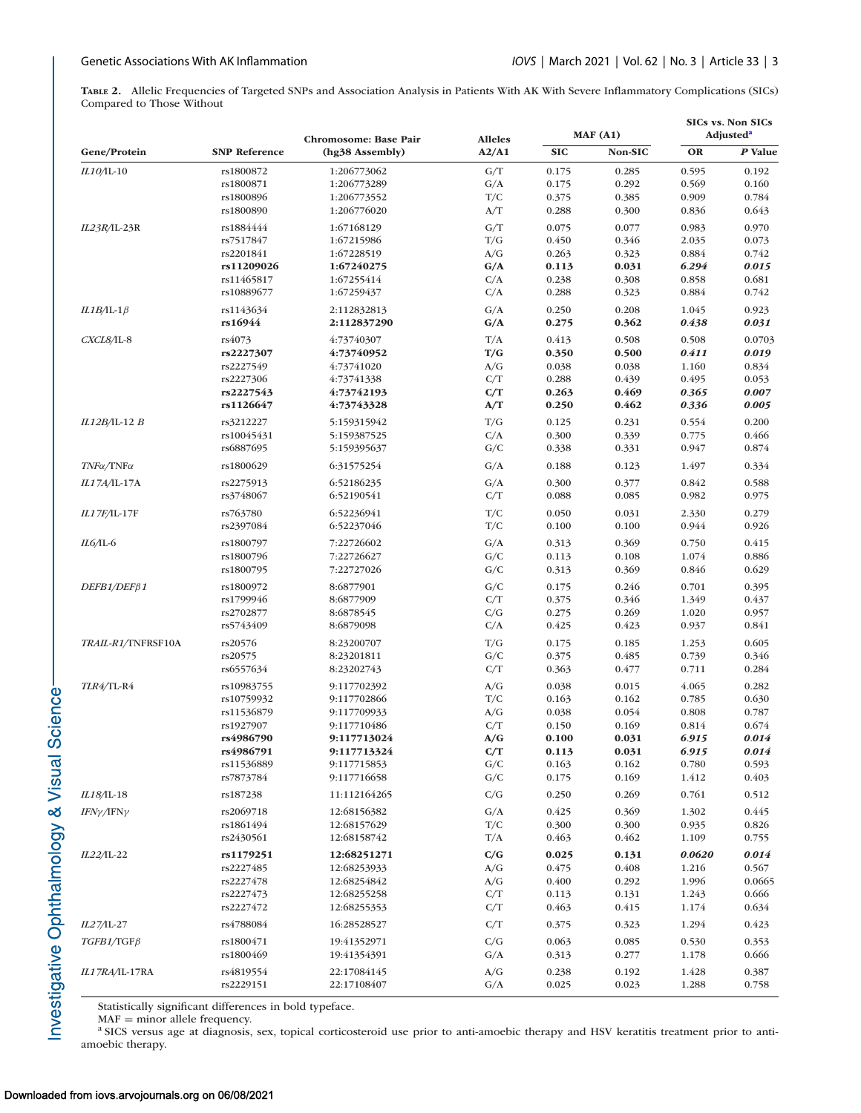<span id="page-2-0"></span>**TABLE 2.** Allelic Frequencies of Targeted SNPs and Association Analysis in Patients With AK With Severe Inflammatory Complications (SICs) Compared to Those Without

|                                                |                      | Chromosome: Base Pair | <b>Alleles</b><br>A2/A1 | MAF(A1)    |         | SICs vs. Non SICs<br>Adjusted <sup>a</sup> |         |
|------------------------------------------------|----------------------|-----------------------|-------------------------|------------|---------|--------------------------------------------|---------|
| Gene/Protein                                   | <b>SNP Reference</b> | (hg38 Assembly)       |                         | <b>SIC</b> | Non-SIC | OR                                         | P Value |
| IL10/IL-10                                     | rs1800872            | 1:206773062           | G/T                     | 0.175      | 0.285   | 0.595                                      | 0.192   |
|                                                | rs1800871            | 1:206773289           | G/A                     | 0.175      | 0.292   | 0.569                                      | 0.160   |
|                                                | rs1800896            | 1:206773552           | T/C                     | 0.375      | 0.385   | 0.909                                      | 0.784   |
|                                                | rs1800890            | 1:206776020           | A/T                     | 0.288      | 0.300   | 0.836                                      | 0.643   |
| $IL23R/L-23R$                                  | rs1884444            | 1:67168129            | G/T                     | 0.075      | 0.077   | 0.983                                      | 0.970   |
|                                                | rs7517847            | 1:67215986            | T/G                     | 0.450      | 0.346   | 2.035                                      | 0.073   |
|                                                | rs2201841            | 1:67228519            | A/G                     | 0.263      | 0.323   | 0.884                                      | 0.742   |
|                                                | rs11209026           | 1:67240275            | G/A                     | 0.113      | 0.031   | 6.294                                      | 0.015   |
|                                                | rs11465817           | 1:67255414            | C/A                     | 0.238      | 0.308   | 0.858                                      | 0.681   |
|                                                | rs10889677           | 1:67259437            | C/A                     | 0.288      | 0.323   | 0.884                                      | 0.742   |
| $IL1B/IL-1\beta$                               | rs1143634            | 2:112832813           | G/A                     | 0.250      | 0.208   | 1.045                                      | 0.923   |
|                                                | rs16944              | 2:112837290           | G/A                     | 0.275      | 0.362   | 0.438                                      | 0.031   |
| CXCL8/IL-8                                     | rs4073               | 4:73740307            | T/A                     | 0.413      | 0.508   | 0.508                                      | 0.0703  |
|                                                | rs2227307            | 4:73740952            | T/G                     | 0.350      | 0.500   | 0.411                                      | 0.019   |
|                                                | rs2227549            | 4:73741020            | A/G                     | 0.038      | 0.038   | 1.160                                      | 0.834   |
|                                                | rs2227306            | 4:73741338            | C/T                     | 0.288      | 0.439   | 0.495                                      | 0.053   |
|                                                | rs2227543            | 4:73742193            | C/T                     | 0.263      | 0.469   | 0.365                                      | 0.007   |
|                                                | rs1126647            | 4:73743328            | A/T                     | 0.250      | 0.462   | 0.336                                      | 0.005   |
| IL12B/IL-12 B                                  | rs3212227            | 5:159315942           | T/G                     | 0.125      | 0.231   | 0.554                                      | 0.200   |
|                                                | rs10045431           | 5:159387525           | C/A                     | 0.300      | 0.339   | 0.775                                      | 0.466   |
|                                                | rs6887695            | 5:159395637           | G/C                     | 0.338      | 0.331   | 0.947                                      | 0.874   |
| $T\!N\!F\alpha/\text{T}\text{N}\text{F}\alpha$ | rs1800629            | 6:31575254            | G/A                     | 0.188      | 0.123   | 1.497                                      | 0.334   |
| IL17A/IL-17A                                   | rs2275913            | 6:52186235            | G/A                     | 0.300      | 0.377   | 0.842                                      | 0.588   |
|                                                | rs3748067            | 6:52190541            | C/T                     | 0.088      | 0.085   | 0.982                                      | 0.975   |
| IL17F/IL-17F                                   | rs763780             | 6:52236941            | T/C                     | 0.050      | 0.031   | 2.330                                      | 0.279   |
|                                                | rs2397084            | 6:52237046            | T/C                     | 0.100      | 0.100   | 0.944                                      | 0.926   |
| IL6/IL-6                                       | rs1800797            | 7:22726602            | G/A                     | 0.313      | 0.369   | 0.750                                      | 0.415   |
|                                                | rs1800796            | 7:22726627            | G/C                     | 0.113      | 0.108   | 1.074                                      | 0.886   |
|                                                | rs1800795            | 7:22727026            | G/C                     | 0.313      | 0.369   | 0.846                                      | 0.629   |
| $DEFB1/DEF\beta1$                              | rs1800972            | 8:6877901             | G/C                     | 0.175      | 0.246   | 0.701                                      | 0.395   |
|                                                | rs1799946            | 8:6877909             | C/T                     | 0.375      | 0.346   | 1.349                                      | 0.437   |
|                                                | rs2702877            | 8:6878545             | C/G                     | 0.275      | 0.269   | 1.020                                      | 0.957   |
|                                                | rs5743409            | 8:6879098             | C/A                     | 0.425      | 0.423   | 0.937                                      | 0.841   |
| TRAIL-R1/TNFRSF10A                             | rs20576              | 8:23200707            | T/G                     | 0.175      | 0.185   | 1.253                                      | 0.605   |
|                                                | rs20575              | 8:23201811            | G/C                     | 0.375      | 0.485   | 0.739                                      | 0.346   |
|                                                | rs6557634            | 8:23202743            | C/T                     | 0.363      | 0.477   | 0.711                                      | 0.284   |
| TLR4/TL-R4                                     | rs10983755           | 9:117702392           | A/G                     | 0.038      | 0.015   | 4.065                                      | 0.282   |
|                                                | rs10759932           | 9:117702866           | T/C                     | 0.163      | 0.162   | 0.785                                      | 0.630   |
|                                                | rs11536879           | 9:117709933           | A/G                     | 0.038      | 0.054   | 0.808                                      | 0.787   |
|                                                | rs1927907            | 9:117710486           | C/T                     | 0.150      | 0.169   | 0.814                                      | 0.674   |
|                                                | rs4986790            | 9:117713024           | A/G                     | 0.100      | 0.031   | 6.915                                      | 0.014   |
|                                                | rs4986791            | 9:117713324           | C/T                     | 0.113      | 0.031   | 6.915                                      | 0.014   |
|                                                | rs11536889           | 9:117715853           | G/C<br>G/C              | 0.163      | 0.162   | 0.780                                      | 0.593   |
|                                                | rs7873784            | 9:117716658           |                         | 0.175      | 0.169   | 1.412                                      | 0.403   |
| IL18/IL-18                                     | rs187238             | 11:112164265          | C/G                     | 0.250      | 0.269   | 0.761                                      | 0.512   |
| $IFN\gamma/IFN\gamma$                          | rs2069718            | 12:68156382           | G/A                     | 0.425      | 0.369   | 1.302                                      | 0.445   |
|                                                | rs1861494            | 12:68157629           | T/C                     | 0.300      | 0.300   | 0.935                                      | 0.826   |
|                                                | rs2430561            | 12:68158742           | T/A                     | 0.463      | 0.462   | 1.109                                      | 0.755   |
| IL22/IL-22                                     | rs1179251            | 12:68251271           | C/G                     | 0.025      | 0.131   | 0.0620                                     | 0.014   |
|                                                | rs2227485            | 12:68253933           | A/G                     | 0.475      | 0.408   | 1.216                                      | 0.567   |
|                                                | rs2227478            | 12:68254842           | A/G                     | 0.400      | 0.292   | 1.996                                      | 0.0665  |
|                                                | rs2227473            | 12:68255258           | C/T                     | 0.113      | 0.131   | 1.243                                      | 0.666   |
|                                                | rs2227472            | 12:68255353           | C/T                     | 0.463      | 0.415   | 1.174                                      | 0.634   |
| IL27/IL-27                                     | rs4788084            | 16:28528527           | C/T                     | 0.375      | 0.323   | 1.294                                      | 0.423   |
| $TGFB1/TGF\beta$                               | rs1800471            | 19:41352971           | C/G                     | 0.063      | 0.085   | 0.530                                      | 0.353   |
|                                                | rs1800469            | 19:41354391           | G/A                     | 0.313      | 0.277   | 1.178                                      | 0.666   |
| IL17RA/IL-17RA                                 | rs4819554            | 22:17084145           | A/G                     | 0.238      | 0.192   | 1.428                                      | 0.387   |
|                                                | rs2229151            | 22:17108407           | G/A                     | 0.025      | 0.023   | 1.288                                      | 0.758   |

Statistically significant differences in bold typeface. MAF = minor allele frequency.

<sup>a</sup> SICS versus age at diagnosis, sex, topical corticosteroid use prior to anti-amoebic therapy and HSV keratitis treatment prior to antiamoebic therapy.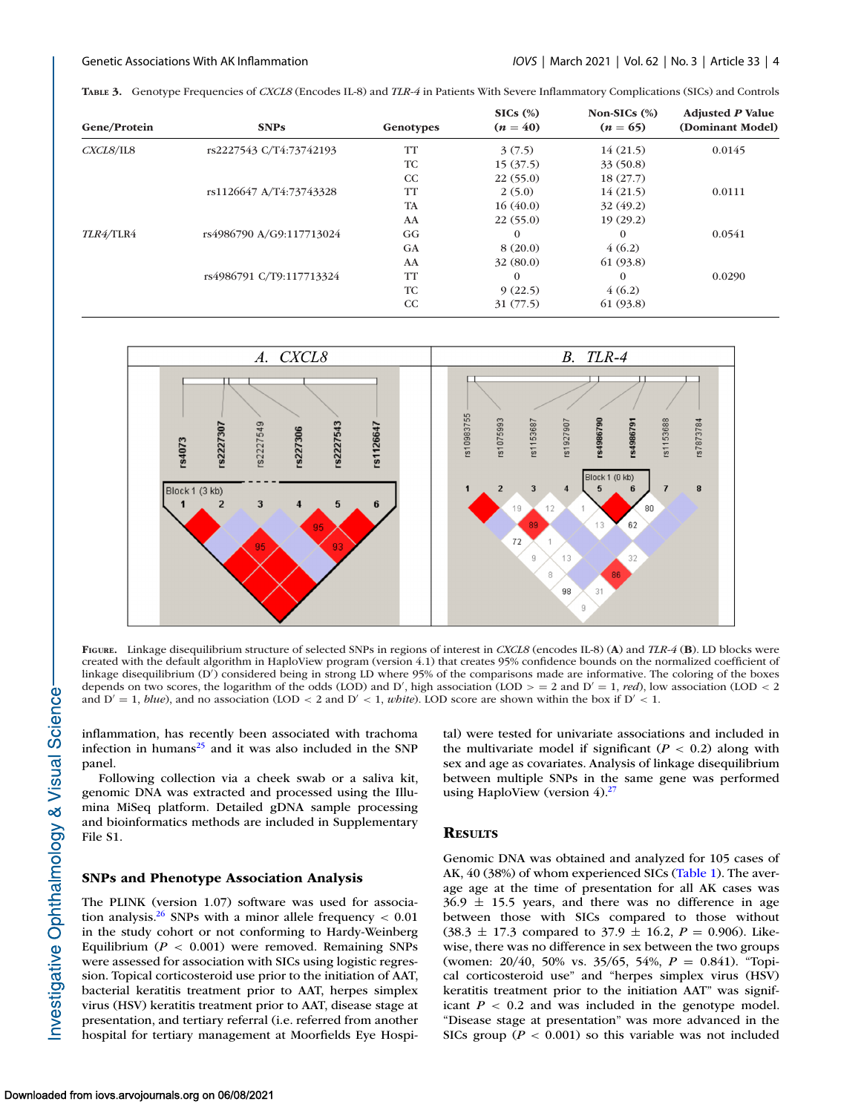<span id="page-3-0"></span>

|  |  |  |  | TABLE 3. Genotype Frequencies of CXCL8 (Encodes IL-8) and TLR-4 in Patients With Severe Inflammatory Complications (SICs) and Controls |  |  |
|--|--|--|--|----------------------------------------------------------------------------------------------------------------------------------------|--|--|
|--|--|--|--|----------------------------------------------------------------------------------------------------------------------------------------|--|--|

| Gene/Protein | <b>SNPs</b>              | Genotypes | $SICs$ $(\%)$<br>$(n = 40)$ | Non-SICs $(\%)$<br>$(n = 65)$ | <b>Adjusted P Value</b><br>(Dominant Model) |
|--------------|--------------------------|-----------|-----------------------------|-------------------------------|---------------------------------------------|
| CXCLS/IL8    | rs2227543 C/T4:73742193  | <b>TT</b> | 3(7.5)                      | 14(21.5)                      | 0.0145                                      |
|              |                          | TC        | 15(37.5)                    | 33(50.8)                      |                                             |
|              |                          | CC        | 22(55.0)                    | 18(27.7)                      |                                             |
|              | rs1126647 A/T4:73743328  | <b>TT</b> | 2(5.0)                      | 14(21.5)                      | 0.0111                                      |
|              |                          | <b>TA</b> | 16(40.0)                    | 32(49.2)                      |                                             |
|              |                          | AA        | 22(55.0)                    | 19(29.2)                      |                                             |
| TLR4/TLR4    | rs4986790 A/G9:117713024 | GG        | $\Omega$                    | $\Omega$                      | 0.0541                                      |
|              |                          | <b>GA</b> | 8(20.0)                     | 4(6.2)                        |                                             |
|              |                          | AA        | 32(80.0)                    | 61 (93.8)                     |                                             |
|              | rs4986791 C/T9:117713324 | TT        | $\Omega$                    | $\Omega$                      | 0.0290                                      |
|              |                          | <b>TC</b> | 9(22.5)                     | 4(6.2)                        |                                             |
|              |                          | CC        | 31(77.5)                    | 61 (93.8)                     |                                             |



**FIGURE.** Linkage disequilibrium structure of selected SNPs in regions of interest in *CXCL8* (encodes IL-8) (**A**) and *TLR-4* (**B**). LD blocks were created with the default algorithm in HaploView program (version 4.1) that creates 95% confidence bounds on the normalized coefficient of linkage disequilibrium (D ) considered being in strong LD where 95% of the comparisons made are informative. The coloring of the boxes depends on two scores, the logarithm of the odds (LOD) and D', high association (LOD  $>$  = 2 and D' = 1, *red*), low association (LOD < 2 and  $D' = 1$ , *blue*), and no association (LOD < 2 and  $D' < 1$ , *white*). LOD score are shown within the box if  $D' < 1$ .

inflammation, has recently been associated with trachoma infection in humans $^{25}$  and it was also included in the SNP panel.

Following collection via a cheek swab or a saliva kit, genomic DNA was extracted and processed using the Illumina MiSeq platform. Detailed gDNA sample processing and bioinformatics methods are included in Supplementary File S1.

# **SNPs and Phenotype Association Analysis**

The PLINK (version 1.07) software was used for association analysis.<sup>26</sup> SNPs with a minor allele frequency  $< 0.01$ in the study cohort or not conforming to Hardy-Weinberg Equilibrium  $(P < 0.001)$  were removed. Remaining SNPs were assessed for association with SICs using logistic regression. Topical corticosteroid use prior to the initiation of AAT, bacterial keratitis treatment prior to AAT, herpes simplex virus (HSV) keratitis treatment prior to AAT, disease stage at presentation, and tertiary referral (i.e. referred from another hospital for tertiary management at Moorfields Eye Hospital) were tested for univariate associations and included in the multivariate model if significant  $(P < 0.2)$  along with sex and age as covariates. Analysis of linkage disequilibrium between multiple SNPs in the same gene was performed using HaploView (version  $4$ ).<sup>27</sup>

# **RESULTS**

Genomic DNA was obtained and analyzed for 105 cases of AK, 40 (38%) of whom experienced SICs [\(Table 1\)](#page-1-0). The average age at the time of presentation for all AK cases was  $36.9 \pm 15.5$  years, and there was no difference in age between those with SICs compared to those without  $(38.3 \pm 17.3$  compared to  $37.9 \pm 16.2$ ,  $P = 0.906$ ). Likewise, there was no difference in sex between the two groups (women: 20/40, 50% vs. 35/65, 54%, *P* = 0.841). "Topical corticosteroid use" and "herpes simplex virus (HSV) keratitis treatment prior to the initiation AAT" was significant  $P < 0.2$  and was included in the genotype model. "Disease stage at presentation" was more advanced in the SICs group ( $P < 0.001$ ) so this variable was not included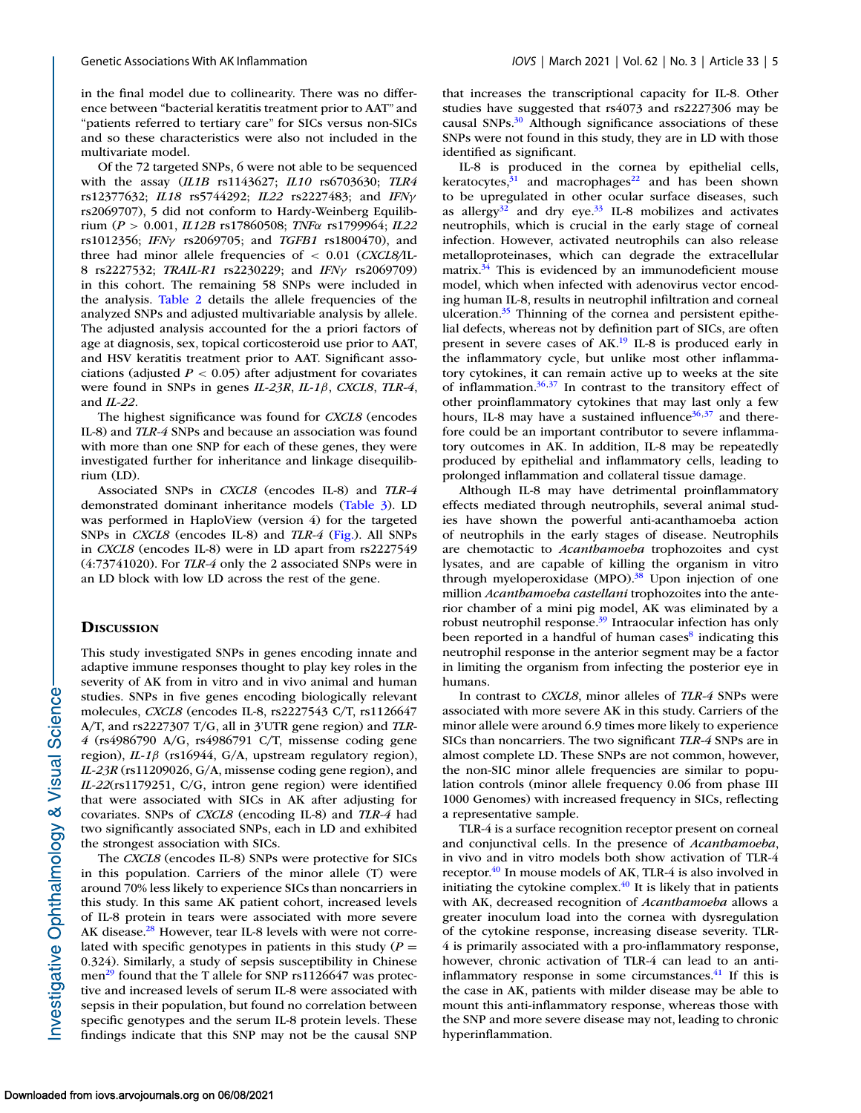in the final model due to collinearity. There was no difference between "bacterial keratitis treatment prior to AAT" and "patients referred to tertiary care" for SICs versus non-SICs and so these characteristics were also not included in the multivariate model.

Of the 72 targeted SNPs, 6 were not able to be sequenced with the assay (*IL1B* rs1143627; *IL10* rs6703630; *TLR4* rs12377632; *IL18* rs5744292; *IL22* rs2227483; and *IFN*γ rs2069707), 5 did not conform to Hardy-Weinberg Equilibrium (*P* > 0.001, *IL12B* rs17860508; *TNF*α rs1799964; *IL22* rs1012356; *IFN*γ rs2069705; and *TGFB1* rs1800470), and three had minor allele frequencies of < 0.01 (*CXCL8/*IL-8 rs2227532; *TRAIL-R1* rs2230229; and *IFN*γ rs2069709) in this cohort. The remaining 58 SNPs were included in the analysis. [Table 2](#page-2-0) details the allele frequencies of the analyzed SNPs and adjusted multivariable analysis by allele. The adjusted analysis accounted for the a priori factors of age at diagnosis, sex, topical corticosteroid use prior to AAT, and HSV keratitis treatment prior to AAT. Significant associations (adjusted  $P < 0.05$ ) after adjustment for covariates were found in SNPs in genes *IL-23R*, *IL-1*β, *CXCL8*, *TLR-4*, and *IL-22*.

The highest significance was found for *CXCL8* (encodes IL-8) and *TLR-4* SNPs and because an association was found with more than one SNP for each of these genes, they were investigated further for inheritance and linkage disequilibrium (LD).

Associated SNPs in *CXCL8* (encodes IL-8) and *TLR-4* demonstrated dominant inheritance models [\(Table 3\)](#page-3-0). LD was performed in HaploView (version 4) for the targeted SNPs in *CXCL8* (encodes IL-8) and *TLR-4* [\(Fig.\)](#page-3-0). All SNPs in *CXCL8* (encodes IL-8) were in LD apart from rs2227549 (4:73741020). For *TLR-4* only the 2 associated SNPs were in an LD block with low LD across the rest of the gene.

## **DISCUSSION**

This study investigated SNPs in genes encoding innate and adaptive immune responses thought to play key roles in the severity of AK from in vitro and in vivo animal and human studies. SNPs in five genes encoding biologically relevant molecules, *CXCL8* (encodes IL-8, rs2227543 C/T, rs1126647 A/T, and rs2227307 T/G, all in 3'UTR gene region) and *TLR-4* (rs4986790 A/G, rs4986791 C/T, missense coding gene region), *IL-1*β (rs16944, G/A, upstream regulatory region), *IL-23R* (rs11209026, G/A, missense coding gene region), and *IL-22*(rs1179251, C/G, intron gene region) were identified that were associated with SICs in AK after adjusting for covariates. SNPs of *CXCL8* (encoding IL-8) and *TLR-4* had two significantly associated SNPs, each in LD and exhibited the strongest association with SICs.

The *CXCL8* (encodes IL-8) SNPs were protective for SICs in this population. Carriers of the minor allele (T) were around 70% less likely to experience SICs than noncarriers in this study. In this same AK patient cohort, increased levels of IL-8 protein in tears were associated with more severe AK disease.<sup>28</sup> However, tear IL-8 levels with were not correlated with specific genotypes in patients in this study  $(P =$ 0.324). Similarly, a study of sepsis susceptibility in Chinese men<sup>[29](#page-6-0)</sup> found that the T allele for SNP  $rs1126647$  was protective and increased levels of serum IL-8 were associated with sepsis in their population, but found no correlation between specific genotypes and the serum IL-8 protein levels. These findings indicate that this SNP may not be the causal SNP that increases the transcriptional capacity for IL-8. Other studies have suggested that rs4073 and rs2227306 may be causal SNPs.<sup>30</sup> Although significance associations of these SNPs were not found in this study, they are in LD with those identified as significant.

IL-8 is produced in the cornea by epithelial cells, keratocytes, $31$  and macrophages<sup>22</sup> and has been shown to be upregulated in other ocular surface diseases, such as allergy $32$  and dry eye.  $33$  IL-8 mobilizes and activates neutrophils, which is crucial in the early stage of corneal infection. However, activated neutrophils can also release metalloproteinases, which can degrade the extracellular matrix. $34$  This is evidenced by an immunodeficient mouse model, which when infected with adenovirus vector encoding human IL-8, results in neutrophil infiltration and corneal ulceration.<sup>35</sup> Thinning of the cornea and persistent epithelial defects, whereas not by definition part of SICs, are often present in severe cases of AK.<sup>19</sup> IL-8 is produced early in the inflammatory cycle, but unlike most other inflammatory cytokines, it can remain active up to weeks at the site of inflammation[.36,37](#page-6-0) In contrast to the transitory effect of other proinflammatory cytokines that may last only a few hours, IL-8 may have a sustained influence<sup>36,37</sup> and therefore could be an important contributor to severe inflammatory outcomes in AK. In addition, IL-8 may be repeatedly produced by epithelial and inflammatory cells, leading to prolonged inflammation and collateral tissue damage.

Although IL-8 may have detrimental proinflammatory effects mediated through neutrophils, several animal studies have shown the powerful anti-acanthamoeba action of neutrophils in the early stages of disease. Neutrophils are chemotactic to *Acanthamoeba* trophozoites and cyst lysates, and are capable of killing the organism in vitro through myeloperoxidase (MPO).<sup>38</sup> Upon injection of one million *Acanthamoeba castellani* trophozoites into the anterior chamber of a mini pig model, AK was eliminated by a robust neutrophil response.<sup>39</sup> Intraocular infection has only been reported in a handful of human cases $\delta$  indicating this neutrophil response in the anterior segment may be a factor in limiting the organism from infecting the posterior eye in humans.

In contrast to *CXCL8*, minor alleles of *TLR-4* SNPs were associated with more severe AK in this study. Carriers of the minor allele were around 6.9 times more likely to experience SICs than noncarriers. The two significant *TLR-4* SNPs are in almost complete LD. These SNPs are not common, however, the non-SIC minor allele frequencies are similar to population controls (minor allele frequency 0.06 from phase III 1000 Genomes) with increased frequency in SICs, reflecting a representative sample.

TLR-4 is a surface recognition receptor present on corneal and conjunctival cells. In the presence of *Acanthamoeba*, in vivo and in vitro models both show activation of TLR-4 receptor.<sup>40</sup> In mouse models of AK, TLR-4 is also involved in initiating the cytokine complex. $^{40}$  It is likely that in patients with AK, decreased recognition of *Acanthamoeba* allows a greater inoculum load into the cornea with dysregulation of the cytokine response, increasing disease severity. TLR-4 is primarily associated with a pro-inflammatory response, however, chronic activation of TLR-4 can lead to an antiinflammatory response in some circumstances. $41$  If this is the case in AK, patients with milder disease may be able to mount this anti-inflammatory response, whereas those with the SNP and more severe disease may not, leading to chronic hyperinflammation.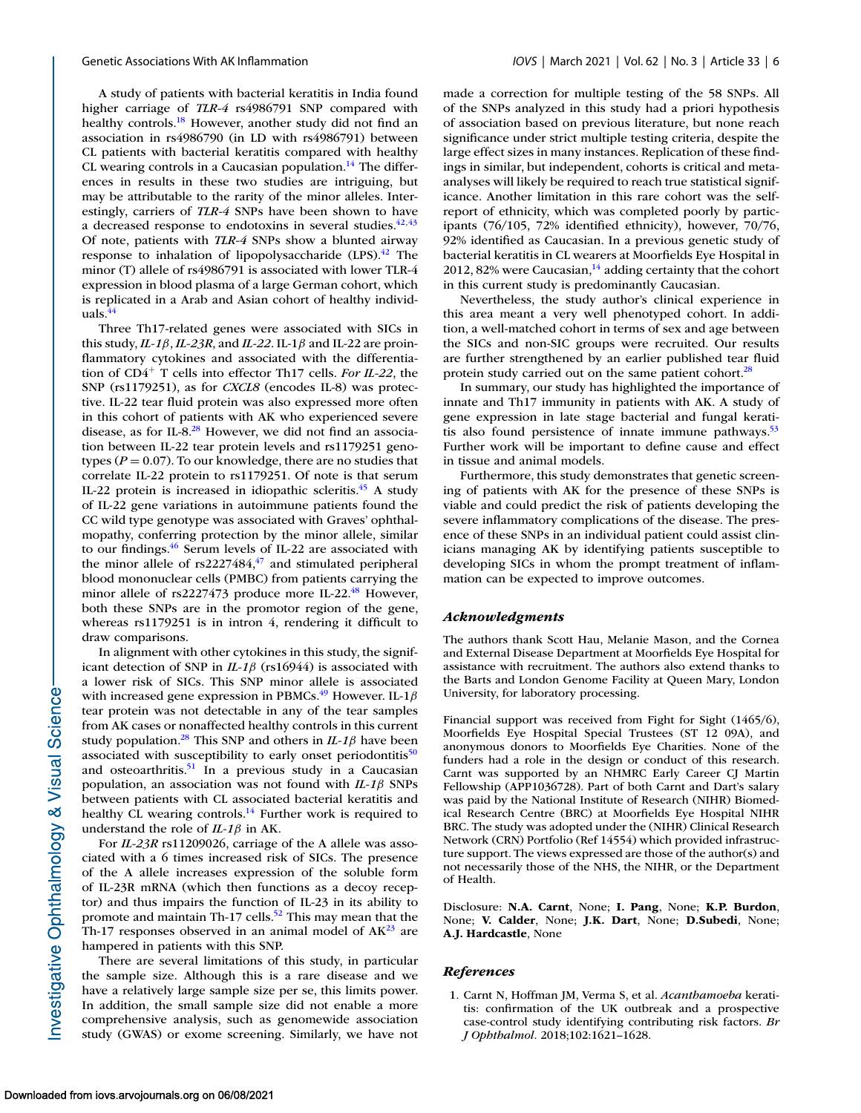<span id="page-5-0"></span>A study of patients with bacterial keratitis in India found higher carriage of *TLR-4* rs4986791 SNP compared with healthy controls.<sup>18</sup> However, another study did not find an association in rs4986790 (in LD with rs4986791) between CL patients with bacterial keratitis compared with healthy CL wearing controls in a Caucasian population.<sup>14</sup> The differences in results in these two studies are intriguing, but may be attributable to the rarity of the minor alleles. Interestingly, carriers of *TLR-4* SNPs have been shown to have a decreased response to endotoxins in several studies. $42,43$ Of note, patients with *TLR-4* SNPs show a blunted airway response to inhalation of lipopolysaccharide  $(LPS).42$  $(LPS).42$  The minor (T) allele of rs4986791 is associated with lower TLR-4 expression in blood plasma of a large German cohort, which is replicated in a Arab and Asian cohort of healthy individuals[.44](#page-7-0)

Three Th17-related genes were associated with SICs in this study, *IL-1*β, *IL-23R*, and *IL-22*. IL-1β and IL-22 are proinflammatory cytokines and associated with the differentiation of CD4<sup>+</sup> T cells into effector Th17 cells. *For IL-22*, the SNP (rs1179251), as for *CXCL8* (encodes IL-8) was protective. IL-22 tear fluid protein was also expressed more often in this cohort of patients with AK who experienced severe disease, as for IL-8.<sup>28</sup> However, we did not find an association between IL-22 tear protein levels and rs1179251 genotypes ( $P = 0.07$ ). To our knowledge, there are no studies that correlate IL-22 protein to rs1179251. Of note is that serum IL-22 protein is increased in idiopathic scleritis. $45$  A study of IL-22 gene variations in autoimmune patients found the CC wild type genotype was associated with Graves' ophthalmopathy, conferring protection by the minor allele, similar to our findings[.46](#page-7-0) Serum levels of IL-22 are associated with the minor allele of  $rs2227484,47$  $rs2227484,47$  and stimulated peripheral blood mononuclear cells (PMBC) from patients carrying the minor allele of  $rs2227473$  produce more IL-22.<sup>48</sup> However, both these SNPs are in the promotor region of the gene, whereas rs1179251 is in intron 4, rendering it difficult to draw comparisons.

In alignment with other cytokines in this study, the significant detection of SNP in *IL-1*β (rs16944) is associated with a lower risk of SICs. This SNP minor allele is associated with increased gene expression in PBMCs.<sup>49</sup> However. IL-1 $\beta$ tear protein was not detectable in any of the tear samples from AK cases or nonaffected healthy controls in this current study population.<sup>28</sup> This SNP and others in  $IL-1\beta$  have been associated with susceptibility to early onset periodontitis $50$ and osteoarthritis.<sup>51</sup> In a previous study in a Caucasian population, an association was not found with *IL-1*β SNPs between patients with CL associated bacterial keratitis and healthy CL wearing controls.<sup>14</sup> Further work is required to understand the role of *IL-1*β in AK.

For *IL-23R* rs11209026, carriage of the A allele was associated with a 6 times increased risk of SICs. The presence of the A allele increases expression of the soluble form of IL-23R mRNA (which then functions as a decoy receptor) and thus impairs the function of IL-23 in its ability to promote and maintain Th-17 cells.<sup>52</sup> This may mean that the Th-17 responses observed in an animal model of  $AK^{23}$  are hampered in patients with this SNP.

There are several limitations of this study, in particular the sample size. Although this is a rare disease and we have a relatively large sample size per se, this limits power. In addition, the small sample size did not enable a more comprehensive analysis, such as genomewide association study (GWAS) or exome screening. Similarly, we have not made a correction for multiple testing of the 58 SNPs. All of the SNPs analyzed in this study had a priori hypothesis of association based on previous literature, but none reach significance under strict multiple testing criteria, despite the large effect sizes in many instances. Replication of these findings in similar, but independent, cohorts is critical and metaanalyses will likely be required to reach true statistical significance. Another limitation in this rare cohort was the selfreport of ethnicity, which was completed poorly by participants (76/105, 72% identified ethnicity), however, 70/76, 92% identified as Caucasian. In a previous genetic study of bacterial keratitis in CL wearers at Moorfields Eye Hospital in 2012, 82% were Caucasian, $14$  adding certainty that the cohort in this current study is predominantly Caucasian.

Nevertheless, the study author's clinical experience in this area meant a very well phenotyped cohort. In addition, a well-matched cohort in terms of sex and age between the SICs and non-SIC groups were recruited. Our results are further strengthened by an earlier published tear fluid protein study carried out on the same patient cohort.<sup>28</sup>

In summary, our study has highlighted the importance of innate and Th17 immunity in patients with AK. A study of gene expression in late stage bacterial and fungal keratitis also found persistence of innate immune pathways. $53$ Further work will be important to define cause and effect in tissue and animal models.

Furthermore, this study demonstrates that genetic screening of patients with AK for the presence of these SNPs is viable and could predict the risk of patients developing the severe inflammatory complications of the disease. The presence of these SNPs in an individual patient could assist clinicians managing AK by identifying patients susceptible to developing SICs in whom the prompt treatment of inflammation can be expected to improve outcomes.

### *Acknowledgments*

The authors thank Scott Hau, Melanie Mason, and the Cornea and External Disease Department at Moorfields Eye Hospital for assistance with recruitment. The authors also extend thanks to the Barts and London Genome Facility at Queen Mary, London University, for laboratory processing.

Financial support was received from Fight for Sight (1465/6), Moorfields Eye Hospital Special Trustees (ST 12 09A), and anonymous donors to Moorfields Eye Charities. None of the funders had a role in the design or conduct of this research. Carnt was supported by an NHMRC Early Career CJ Martin Fellowship (APP1036728). Part of both Carnt and Dart's salary was paid by the National Institute of Research (NIHR) Biomedical Research Centre (BRC) at Moorfields Eye Hospital NIHR BRC. The study was adopted under the (NIHR) Clinical Research Network (CRN) Portfolio (Ref 14554) which provided infrastructure support. The views expressed are those of the author(s) and not necessarily those of the NHS, the NIHR, or the Department of Health.

Disclosure: **N.A. Carnt**, None; **I. Pang**, None; **K.P. Burdon**, None; **V. Calder**, None; **J.K. Dart**, None; **D.Subedi**, None; **A.J. Hardcastle**, None

## *References*

1. Carnt N, Hoffman JM, Verma S, et al. *Acanthamoeba* keratitis: confirmation of the UK outbreak and a prospective case-control study identifying contributing risk factors. *Br J Ophthalmol*. 2018;102:1621–1628.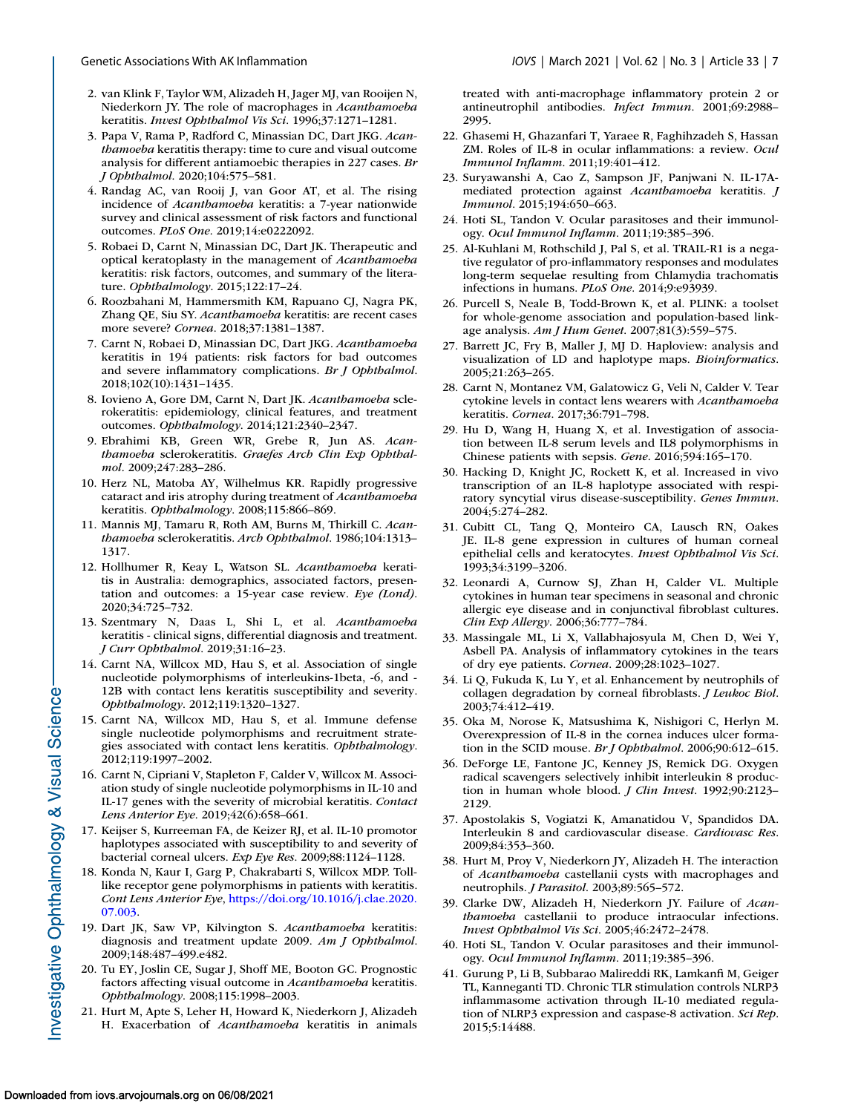- <span id="page-6-0"></span>2. van Klink F, Taylor WM, Alizadeh H, Jager MJ, van Rooijen N, Niederkorn JY. The role of macrophages in *Acanthamoeba* keratitis. *Invest Ophthalmol Vis Sci*. 1996;37:1271–1281.
- 3. Papa V, Rama P, Radford C, Minassian DC, Dart JKG. *Acanthamoeba* keratitis therapy: time to cure and visual outcome analysis for different antiamoebic therapies in 227 cases. *Br J Ophthalmol*. 2020;104:575–581.
- 4. Randag AC, van Rooij J, van Goor AT, et al. The rising incidence of *Acanthamoeba* keratitis: a 7-year nationwide survey and clinical assessment of risk factors and functional outcomes. *PLoS One*. 2019;14:e0222092.
- 5. Robaei D, Carnt N, Minassian DC, Dart JK. Therapeutic and optical keratoplasty in the management of *Acanthamoeba* keratitis: risk factors, outcomes, and summary of the literature. *Ophthalmology*. 2015;122:17–24.
- 6. Roozbahani M, Hammersmith KM, Rapuano CJ, Nagra PK, Zhang QE, Siu SY. *Acanthamoeba* keratitis: are recent cases more severe? *Cornea*. 2018;37:1381–1387.
- 7. Carnt N, Robaei D, Minassian DC, Dart JKG. *Acanthamoeba* keratitis in 194 patients: risk factors for bad outcomes and severe inflammatory complications. *Br J Ophthalmol*. 2018;102(10):1431–1435.
- 8. Iovieno A, Gore DM, Carnt N, Dart JK. *Acanthamoeba* sclerokeratitis: epidemiology, clinical features, and treatment outcomes. *Ophthalmology*. 2014;121:2340–2347.
- 9. Ebrahimi KB, Green WR, Grebe R, Jun AS. *Acanthamoeba* sclerokeratitis. *Graefes Arch Clin Exp Ophthalmol*. 2009;247:283–286.
- 10. Herz NL, Matoba AY, Wilhelmus KR. Rapidly progressive cataract and iris atrophy during treatment of *Acanthamoeba* keratitis. *Ophthalmology*. 2008;115:866–869.
- 11. Mannis MJ, Tamaru R, Roth AM, Burns M, Thirkill C. *Acanthamoeba* sclerokeratitis. *Arch Ophthalmol*. 1986;104:1313– 1317.
- 12. Hollhumer R, Keay L, Watson SL. *Acanthamoeba* keratitis in Australia: demographics, associated factors, presentation and outcomes: a 15-year case review. *Eye (Lond)*. 2020;34:725–732.
- 13. Szentmary N, Daas L, Shi L, et al. *Acanthamoeba* keratitis - clinical signs, differential diagnosis and treatment. *J Curr Ophthalmol*. 2019;31:16–23.
- 14. Carnt NA, Willcox MD, Hau S, et al. Association of single nucleotide polymorphisms of interleukins-1beta, -6, and - 12B with contact lens keratitis susceptibility and severity. *Ophthalmology*. 2012;119:1320–1327.
- 15. Carnt NA, Willcox MD, Hau S, et al. Immune defense single nucleotide polymorphisms and recruitment strategies associated with contact lens keratitis. *Ophthalmology*. 2012;119:1997–2002.
- 16. Carnt N, Cipriani V, Stapleton F, Calder V, Willcox M. Association study of single nucleotide polymorphisms in IL-10 and IL-17 genes with the severity of microbial keratitis. *Contact Lens Anterior Eye*. 2019;42(6):658–661.
- 17. Keijser S, Kurreeman FA, de Keizer RJ, et al. IL-10 promotor haplotypes associated with susceptibility to and severity of bacterial corneal ulcers. *Exp Eye Res*. 2009;88:1124–1128.
- 18. Konda N, Kaur I, Garg P, Chakrabarti S, Willcox MDP. Tolllike receptor gene polymorphisms in patients with keratitis. *Cont Lens Anterior Eye*, [https://doi.org/10.1016/j.clae.2020.](https://doi.org/10.1016/j.clae.2020.07.003) 07.003.
- 19. Dart JK, Saw VP, Kilvington S. *Acanthamoeba* keratitis: diagnosis and treatment update 2009. *Am J Ophthalmol*. 2009;148:487–499.e482.
- 20. Tu EY, Joslin CE, Sugar J, Shoff ME, Booton GC. Prognostic factors affecting visual outcome in *Acanthamoeba* keratitis. *Ophthalmology*. 2008;115:1998–2003.
- 21. Hurt M, Apte S, Leher H, Howard K, Niederkorn J, Alizadeh H. Exacerbation of *Acanthamoeba* keratitis in animals

treated with anti-macrophage inflammatory protein 2 or antineutrophil antibodies. *Infect Immun*. 2001;69:2988– 2995.

- 22. Ghasemi H, Ghazanfari T, Yaraee R, Faghihzadeh S, Hassan ZM. Roles of IL-8 in ocular inflammations: a review. *Ocul Immunol Inflamm*. 2011;19:401–412.
- 23. Suryawanshi A, Cao Z, Sampson JF, Panjwani N. IL-17Amediated protection against *Acanthamoeba* keratitis. *J Immunol*. 2015;194:650–663.
- 24. Hoti SL, Tandon V. Ocular parasitoses and their immunology. *Ocul Immunol Inflamm*. 2011;19:385–396.
- 25. Al-Kuhlani M, Rothschild J, Pal S, et al. TRAIL-R1 is a negative regulator of pro-inflammatory responses and modulates long-term sequelae resulting from Chlamydia trachomatis infections in humans. *PLoS One*. 2014;9:e93939.
- 26. Purcell S, Neale B, Todd-Brown K, et al. PLINK: a toolset for whole-genome association and population-based linkage analysis. *Am J Hum Genet*. 2007;81(3):559–575.
- 27. Barrett JC, Fry B, Maller J, MJ D. Haploview: analysis and visualization of LD and haplotype maps. *Bioinformatics*. 2005;21:263–265.
- 28. Carnt N, Montanez VM, Galatowicz G, Veli N, Calder V. Tear cytokine levels in contact lens wearers with *Acanthamoeba* keratitis. *Cornea*. 2017;36:791–798.
- 29. Hu D, Wang H, Huang X, et al. Investigation of association between IL-8 serum levels and IL8 polymorphisms in Chinese patients with sepsis. *Gene*. 2016;594:165–170.
- 30. Hacking D, Knight JC, Rockett K, et al. Increased in vivo transcription of an IL-8 haplotype associated with respiratory syncytial virus disease-susceptibility. *Genes Immun*. 2004;5:274–282.
- 31. Cubitt CL, Tang Q, Monteiro CA, Lausch RN, Oakes JE. IL-8 gene expression in cultures of human corneal epithelial cells and keratocytes. *Invest Ophthalmol Vis Sci*. 1993;34:3199–3206.
- 32. Leonardi A, Curnow SJ, Zhan H, Calder VL. Multiple cytokines in human tear specimens in seasonal and chronic allergic eye disease and in conjunctival fibroblast cultures. *Clin Exp Allergy*. 2006;36:777–784.
- 33. Massingale ML, Li X, Vallabhajosyula M, Chen D, Wei Y, Asbell PA. Analysis of inflammatory cytokines in the tears of dry eye patients. *Cornea*. 2009;28:1023–1027.
- 34. Li Q, Fukuda K, Lu Y, et al. Enhancement by neutrophils of collagen degradation by corneal fibroblasts. *J Leukoc Biol*. 2003;74:412–419.
- 35. Oka M, Norose K, Matsushima K, Nishigori C, Herlyn M. Overexpression of IL-8 in the cornea induces ulcer formation in the SCID mouse. *Br J Ophthalmol*. 2006;90:612–615.
- 36. DeForge LE, Fantone JC, Kenney JS, Remick DG. Oxygen radical scavengers selectively inhibit interleukin 8 production in human whole blood. *J Clin Invest*. 1992;90:2123– 2129.
- 37. Apostolakis S, Vogiatzi K, Amanatidou V, Spandidos DA. Interleukin 8 and cardiovascular disease. *Cardiovasc Res*. 2009;84:353–360.
- 38. Hurt M, Proy V, Niederkorn JY, Alizadeh H. The interaction of *Acanthamoeba* castellanii cysts with macrophages and neutrophils. *J Parasitol*. 2003;89:565–572.
- 39. Clarke DW, Alizadeh H, Niederkorn JY. Failure of *Acanthamoeba* castellanii to produce intraocular infections. *Invest Ophthalmol Vis Sci*. 2005;46:2472–2478.
- 40. Hoti SL, Tandon V. Ocular parasitoses and their immunology. *Ocul Immunol Inflamm*. 2011;19:385–396.
- 41. Gurung P, Li B, Subbarao Malireddi RK, Lamkanfi M, Geiger TL, Kanneganti TD. Chronic TLR stimulation controls NLRP3 inflammasome activation through IL-10 mediated regulation of NLRP3 expression and caspase-8 activation. *Sci Rep*. 2015;5:14488.